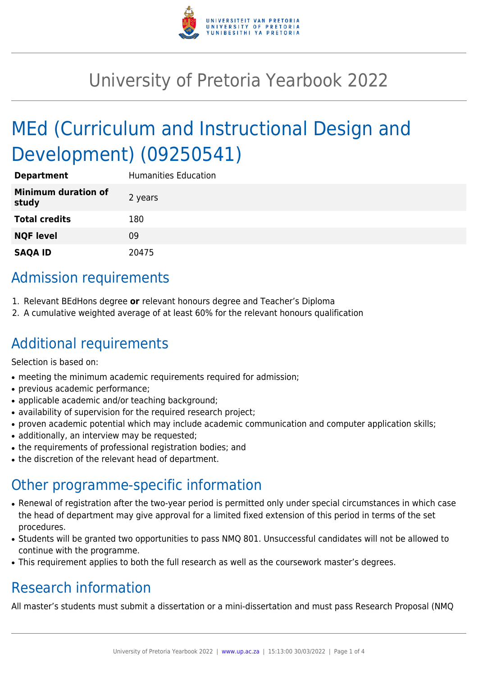

# University of Pretoria Yearbook 2022

# MEd (Curriculum and Instructional Design and Development) (09250541)

| <b>Department</b>                   | <b>Humanities Education</b> |
|-------------------------------------|-----------------------------|
| <b>Minimum duration of</b><br>study | 2 years                     |
| <b>Total credits</b>                | 180                         |
| <b>NQF level</b>                    | 09                          |
| <b>SAQA ID</b>                      | 20475                       |

# Admission requirements

- 1. Relevant BEdHons degree **or** relevant honours degree and Teacher's Diploma
- 2. A cumulative weighted average of at least 60% for the relevant honours qualification

### Additional requirements

Selection is based on:

- meeting the minimum academic requirements required for admission;
- previous academic performance;
- applicable academic and/or teaching background:
- availability of supervision for the required research project;
- proven academic potential which may include academic communication and computer application skills;
- additionally, an interview may be requested;
- the requirements of professional registration bodies; and
- the discretion of the relevant head of department.

### Other programme-specific information

- Renewal of registration after the two-year period is permitted only under special circumstances in which case the head of department may give approval for a limited fixed extension of this period in terms of the set procedures.
- Students will be granted two opportunities to pass NMQ 801. Unsuccessful candidates will not be allowed to continue with the programme.
- This requirement applies to both the full research as well as the coursework master's degrees.

# Research information

All master's students must submit a dissertation or a mini-dissertation and must pass Research Proposal (NMQ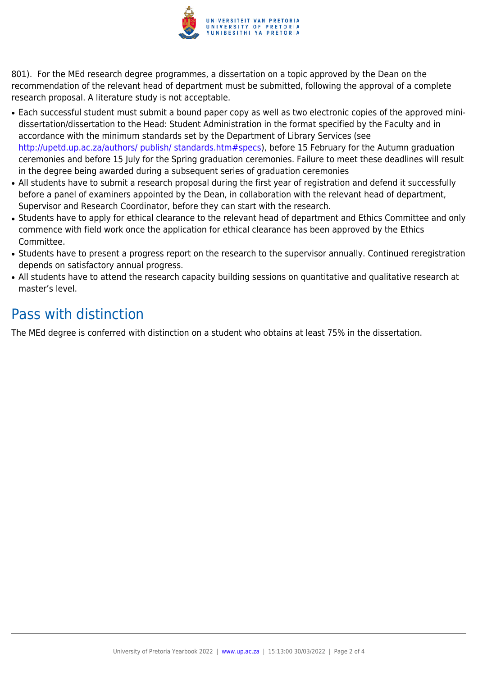

801). For the MEd research degree programmes, a dissertation on a topic approved by the Dean on the recommendation of the relevant head of department must be submitted, following the approval of a complete research proposal. A literature study is not acceptable.

- Each successful student must submit a bound paper copy as well as two electronic copies of the approved minidissertation/dissertation to the Head: Student Administration in the format specified by the Faculty and in accordance with the minimum standards set by the Department of Library Services (see <http://upetd.up.ac.za/authors/ publish/ standards.htm#specs>), before 15 February for the Autumn graduation ceremonies and before 15 July for the Spring graduation ceremonies. Failure to meet these deadlines will result in the degree being awarded during a subsequent series of graduation ceremonies
- All students have to submit a research proposal during the first year of registration and defend it successfully before a panel of examiners appointed by the Dean, in collaboration with the relevant head of department, Supervisor and Research Coordinator, before they can start with the research.
- Students have to apply for ethical clearance to the relevant head of department and Ethics Committee and only commence with field work once the application for ethical clearance has been approved by the Ethics Committee.
- Students have to present a progress report on the research to the supervisor annually. Continued reregistration depends on satisfactory annual progress.
- All students have to attend the research capacity building sessions on quantitative and qualitative research at master's level.

## Pass with distinction

The MEd degree is conferred with distinction on a student who obtains at least 75% in the dissertation.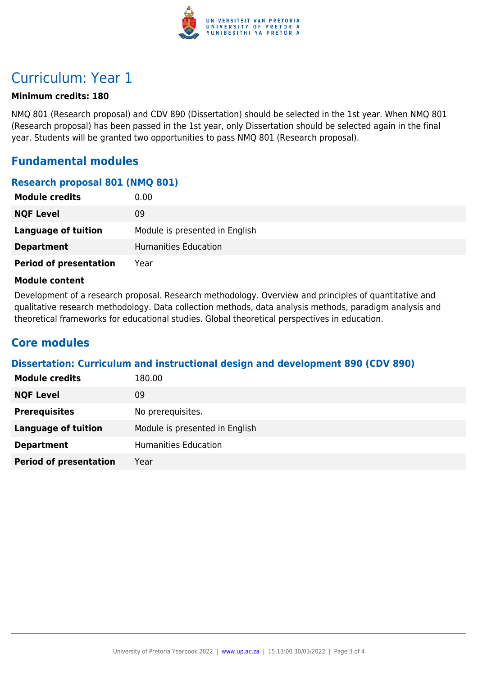

# Curriculum: Year 1

#### **Minimum credits: 180**

NMQ 801 (Research proposal) and CDV 890 (Dissertation) should be selected in the 1st year. When NMQ 801 (Research proposal) has been passed in the 1st year, only Dissertation should be selected again in the final year. Students will be granted two opportunities to pass NMQ 801 (Research proposal).

### **Fundamental modules**

#### **Research proposal 801 (NMQ 801)**

| <b>Module credits</b>         | 0.00                           |
|-------------------------------|--------------------------------|
| <b>NQF Level</b>              | 09                             |
| Language of tuition           | Module is presented in English |
| <b>Department</b>             | Humanities Education           |
| <b>Period of presentation</b> | Year                           |

#### **Module content**

Development of a research proposal. Research methodology. Overview and principles of quantitative and qualitative research methodology. Data collection methods, data analysis methods, paradigm analysis and theoretical frameworks for educational studies. Global theoretical perspectives in education.

### **Core modules**

#### **Dissertation: Curriculum and instructional design and development 890 (CDV 890)**

| <b>Module credits</b>         | 180.00                         |
|-------------------------------|--------------------------------|
| <b>NQF Level</b>              | 09                             |
| <b>Prerequisites</b>          | No prerequisites.              |
| <b>Language of tuition</b>    | Module is presented in English |
| <b>Department</b>             | <b>Humanities Education</b>    |
| <b>Period of presentation</b> | Year                           |
|                               |                                |